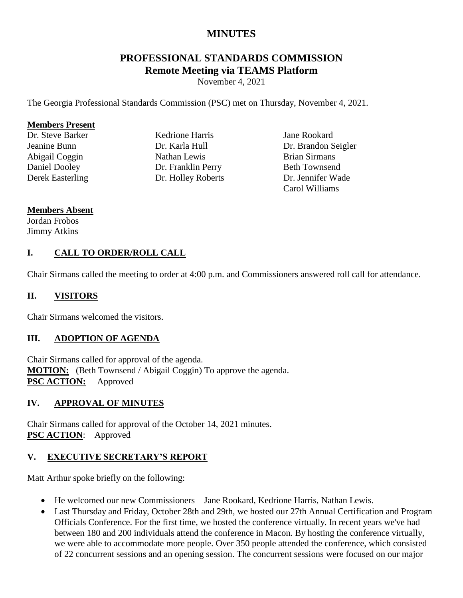# **MINUTES**

# **PROFESSIONAL STANDARDS COMMISSION Remote Meeting via TEAMS Platform**

November 4, 2021

The Georgia Professional Standards Commission (PSC) met on Thursday, November 4, 2021.

#### **Members Present**

Dr. Steve Barker Jeanine Bunn Abigail Coggin Daniel Dooley Derek Easterling

Kedrione Harris Dr. Karla Hull Nathan Lewis Dr. Franklin Perry Dr. Holley Roberts

Jane Rookard Dr. Brandon Seigler Brian Sirmans Beth Townsend Dr. Jennifer Wade Carol Williams

#### **Members Absent**

Jordan Frobos Jimmy Atkins

### **I. CALL TO ORDER/ROLL CALL**

Chair Sirmans called the meeting to order at 4:00 p.m. and Commissioners answered roll call for attendance.

### **II. VISITORS**

Chair Sirmans welcomed the visitors.

#### **III. ADOPTION OF AGENDA**

Chair Sirmans called for approval of the agenda. **MOTION:** (Beth Townsend / Abigail Coggin) To approve the agenda. **PSC ACTION:** Approved

#### **IV. APPROVAL OF MINUTES**

Chair Sirmans called for approval of the October 14, 2021 minutes. **PSC ACTION**: Approved

## **V. EXECUTIVE SECRETARY'S REPORT**

Matt Arthur spoke briefly on the following:

- He welcomed our new Commissioners Jane Rookard, Kedrione Harris, Nathan Lewis.
- Last Thursday and Friday, October 28th and 29th, we hosted our 27th Annual Certification and Program Officials Conference. For the first time, we hosted the conference virtually. In recent years we've had between 180 and 200 individuals attend the conference in Macon. By hosting the conference virtually, we were able to accommodate more people. Over 350 people attended the conference, which consisted of 22 concurrent sessions and an opening session. The concurrent sessions were focused on our major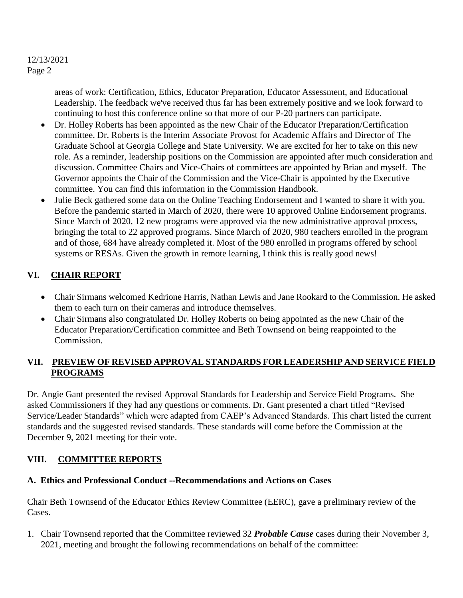areas of work: Certification, Ethics, Educator Preparation, Educator Assessment, and Educational Leadership. The feedback we've received thus far has been extremely positive and we look forward to continuing to host this conference online so that more of our P-20 partners can participate.

- Dr. Holley Roberts has been appointed as the new Chair of the Educator Preparation/Certification committee. Dr. Roberts is the Interim Associate Provost for Academic Affairs and Director of The Graduate School at Georgia College and State University. We are excited for her to take on this new role. As a reminder, leadership positions on the Commission are appointed after much consideration and discussion. Committee Chairs and Vice-Chairs of committees are appointed by Brian and myself. The Governor appoints the Chair of the Commission and the Vice-Chair is appointed by the Executive committee. You can find this information in the Commission Handbook.
- Julie Beck gathered some data on the Online Teaching Endorsement and I wanted to share it with you. Before the pandemic started in March of 2020, there were 10 approved Online Endorsement programs. Since March of 2020, 12 new programs were approved via the new administrative approval process, bringing the total to 22 approved programs. Since March of 2020, 980 teachers enrolled in the program and of those, 684 have already completed it. Most of the 980 enrolled in programs offered by school systems or RESAs. Given the growth in remote learning, I think this is really good news!

## **VI. CHAIR REPORT**

- Chair Sirmans welcomed Kedrione Harris, Nathan Lewis and Jane Rookard to the Commission. He asked them to each turn on their cameras and introduce themselves.
- Chair Sirmans also congratulated Dr. Holley Roberts on being appointed as the new Chair of the Educator Preparation/Certification committee and Beth Townsend on being reappointed to the Commission.

### **VII. PREVIEW OF REVISED APPROVAL STANDARDS FOR LEADERSHIP AND SERVICE FIELD PROGRAMS**

Dr. Angie Gant presented the revised Approval Standards for Leadership and Service Field Programs. She asked Commissioners if they had any questions or comments. Dr. Gant presented a chart titled "Revised Service/Leader Standards" which were adapted from CAEP's Advanced Standards. This chart listed the current standards and the suggested revised standards. These standards will come before the Commission at the December 9, 2021 meeting for their vote.

## **VIII. COMMITTEE REPORTS**

## **A. Ethics and Professional Conduct --Recommendations and Actions on Cases**

Chair Beth Townsend of the Educator Ethics Review Committee (EERC), gave a preliminary review of the Cases.

1. Chair Townsend reported that the Committee reviewed 32 *Probable Cause* cases during their November 3, 2021, meeting and brought the following recommendations on behalf of the committee: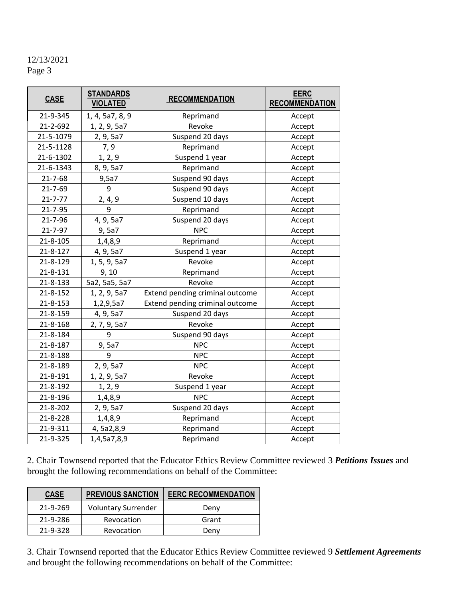| <b>CASE</b>   | <b>STANDARDS</b><br><b>VIOLATED</b> | <b>RECOMMENDATION</b>           | <b>EERC</b><br><b>RECOMMENDATION</b> |
|---------------|-------------------------------------|---------------------------------|--------------------------------------|
| 21-9-345      | 1, 4, 5a7, 8, 9                     | Reprimand                       | Accept                               |
| 21-2-692      | 1, 2, 9, 5a7                        | Revoke                          | Accept                               |
| 21-5-1079     | 2, 9, 5a7                           | Suspend 20 days                 | Accept                               |
| 21-5-1128     | 7,9                                 | Reprimand                       | Accept                               |
| 21-6-1302     | 1, 2, 9                             | Suspend 1 year                  | Accept                               |
| 21-6-1343     | 8, 9, 5a7                           | Reprimand                       | Accept                               |
| 21-7-68       | 9,5a7                               | Suspend 90 days                 | Accept                               |
| 21-7-69       | 9                                   | Suspend 90 days                 | Accept                               |
| $21 - 7 - 77$ | 2, 4, 9                             | Suspend 10 days                 | Accept                               |
| 21-7-95       | 9                                   | Reprimand                       | Accept                               |
| 21-7-96       | 4, 9, 5a7                           | Suspend 20 days                 | Accept                               |
| 21-7-97       | 9,5a7                               | <b>NPC</b>                      | Accept                               |
| 21-8-105      | 1,4,8,9                             | Reprimand                       | Accept                               |
| 21-8-127      | 4, 9, 5a7                           | Suspend 1 year                  | Accept                               |
| 21-8-129      | 1, 5, 9, 5a7                        | Revoke                          | Accept                               |
| 21-8-131      | 9, 10                               | Reprimand                       | Accept                               |
| 21-8-133      | 5a2, 5a5, 5a7                       | Revoke                          | Accept                               |
| 21-8-152      | 1, 2, 9, 5a7                        | Extend pending criminal outcome | Accept                               |
| 21-8-153      | 1,2,9,5a7                           | Extend pending criminal outcome | Accept                               |
| 21-8-159      | 4, 9, 5a7                           | Suspend 20 days                 | Accept                               |
| 21-8-168      | 2, 7, 9, 5a7                        | Revoke                          | Accept                               |
| 21-8-184      | 9                                   | Suspend 90 days                 | Accept                               |
| 21-8-187      | 9,5a7                               | <b>NPC</b>                      | Accept                               |
| 21-8-188      | 9                                   | <b>NPC</b>                      | Accept                               |
| 21-8-189      | 2, 9, 5a7                           | <b>NPC</b>                      | Accept                               |
| 21-8-191      | 1, 2, 9, 5a7                        | Revoke                          | Accept                               |
| 21-8-192      | 1, 2, 9                             | Suspend 1 year                  | Accept                               |
| 21-8-196      | 1,4,8,9                             | <b>NPC</b>                      | Accept                               |
| 21-8-202      | 2, 9, 5a7                           | Suspend 20 days                 | Accept                               |
| 21-8-228      | 1,4,8,9                             | Reprimand                       | Accept                               |
| 21-9-311      | 4, 5a2,8,9                          | Reprimand                       | Accept                               |
| 21-9-325      | 1,4,5a7,8,9                         | Reprimand                       | Accept                               |

2. Chair Townsend reported that the Educator Ethics Review Committee reviewed 3 *Petitions Issues* and brought the following recommendations on behalf of the Committee:

| <b>CASE</b> | <b>PREVIOUS SANCTION</b>   | <b>EERC RECOMMENDATION</b> |
|-------------|----------------------------|----------------------------|
| 21-9-269    | <b>Voluntary Surrender</b> | Deny                       |
| 21-9-286    | Revocation                 | Grant                      |
| 21-9-328    | Revocation                 | Denv                       |

3. Chair Townsend reported that the Educator Ethics Review Committee reviewed 9 *Settlement Agreements* and brought the following recommendations on behalf of the Committee: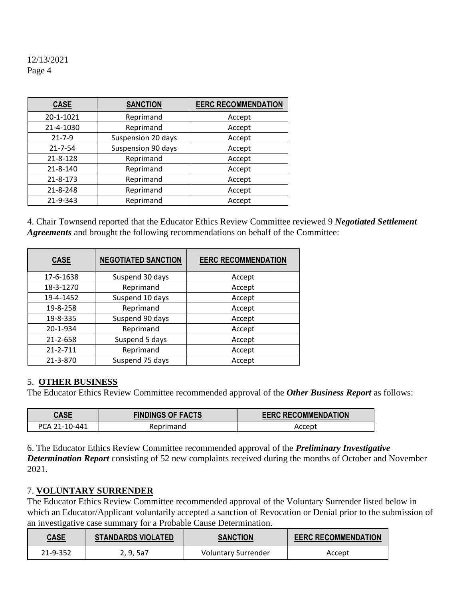| <b>CASE</b>    | <b>SANCTION</b>    | <b>EERC RECOMMENDATION</b> |
|----------------|--------------------|----------------------------|
| 20-1-1021      | Reprimand          | Accept                     |
| 21-4-1030      | Reprimand          | Accept                     |
| $21 - 7 - 9$   | Suspension 20 days | Accept                     |
| $21 - 7 - 54$  | Suspension 90 days | Accept                     |
| $21 - 8 - 128$ | Reprimand          | Accept                     |
| 21-8-140       | Reprimand          | Accept                     |
| $21 - 8 - 173$ | Reprimand          | Accept                     |
| 21-8-248       | Reprimand          | Accept                     |
| 21-9-343       | Reprimand          | Accept                     |

4. Chair Townsend reported that the Educator Ethics Review Committee reviewed 9 *Negotiated Settlement Agreements* and brought the following recommendations on behalf of the Committee:

| <b>CASE</b> | <b>NEGOTIATED SANCTION</b> | <b>EERC RECOMMENDATION</b> |
|-------------|----------------------------|----------------------------|
| 17-6-1638   | Suspend 30 days            | Accept                     |
| 18-3-1270   | Reprimand                  | Accept                     |
| 19-4-1452   | Suspend 10 days            | Accept                     |
| 19-8-258    | Reprimand                  | Accept                     |
| 19-8-335    | Suspend 90 days            | Accept                     |
| 20-1-934    | Reprimand                  | Accept                     |
| 21-2-658    | Suspend 5 days             | Accept                     |
| 21-2-711    | Reprimand                  | Accept                     |
| 21-3-870    | Suspend 75 days            | Accept                     |

#### 5. **OTHER BUSINESS**

The Educator Ethics Review Committee recommended approval of the *Other Business Report* as follows:

| <b>CASE</b>   | <b>FINDINGS OF FACTS</b> | <b>EERC RECOMMENDATION</b> |
|---------------|--------------------------|----------------------------|
| PCA 21-10-441 | Reprimand                | Accept                     |

6. The Educator Ethics Review Committee recommended approval of the *Preliminary Investigative Determination Report* consisting of 52 new complaints received during the months of October and November 2021.

#### 7. **VOLUNTARY SURRENDER**

The Educator Ethics Review Committee recommended approval of the Voluntary Surrender listed below in which an Educator/Applicant voluntarily accepted a sanction of Revocation or Denial prior to the submission of an investigative case summary for a Probable Cause Determination.

| <b>CASE</b><br>$\sim$ $\sim$ | <b>STANDARDS VIOLATED</b> | <b>SANCTION</b>     | <b>EERC RECOMMENDATION</b> |  |
|------------------------------|---------------------------|---------------------|----------------------------|--|
| 21-9-352                     | 2, 9, 5a7                 | Voluntary Surrender | Accept                     |  |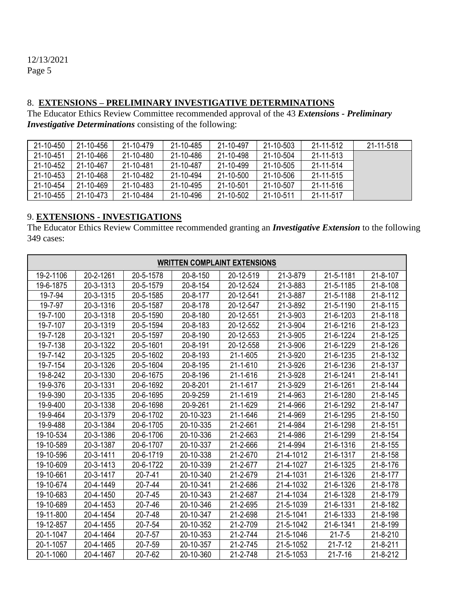#### 8. **EXTENSIONS – PRELIMINARY INVESTIGATIVE DETERMINATIONS**

The Educator Ethics Review Committee recommended approval of the 43 *Extensions - Preliminary Investigative Determinations* consisting of the following:

| 21-10-450 | 21-10-456 | 21-10-479 | 21-10-485 | 21-10-497 | 21-10-503 | 21-11-512 | 21-11-518 |
|-----------|-----------|-----------|-----------|-----------|-----------|-----------|-----------|
| 21-10-451 | 21-10-466 | 21-10-480 | 21-10-486 | 21-10-498 | 21-10-504 | 21-11-513 |           |
| 21-10-452 | 21-10-467 | 21-10-481 | 21-10-487 | 21-10-499 | 21-10-505 | 21-11-514 |           |
| 21-10-453 | 21-10-468 | 21-10-482 | 21-10-494 | 21-10-500 | 21-10-506 | 21-11-515 |           |
| 21-10-454 | 21-10-469 | 21-10-483 | 21-10-495 | 21-10-501 | 21-10-507 | 21-11-516 |           |
| 21-10-455 | 21-10-473 | 21-10-484 | 21-10-496 | 21-10-502 | 21-10-511 | 21-11-517 |           |

# 9. **EXTENSIONS - INVESTIGATIONS**

The Educator Ethics Review Committee recommended granting an *Investigative Extension* to the following 349 cases:

| <b>WRITTEN COMPLAINT EXTENSIONS</b> |           |               |           |           |           |               |                |
|-------------------------------------|-----------|---------------|-----------|-----------|-----------|---------------|----------------|
| 19-2-1106                           | 20-2-1261 | 20-5-1578     | 20-8-150  | 20-12-519 | 21-3-879  | 21-5-1181     | 21-8-107       |
| 19-6-1875                           | 20-3-1313 | 20-5-1579     | 20-8-154  | 20-12-524 | 21-3-883  | 21-5-1185     | 21-8-108       |
| 19-7-94                             | 20-3-1315 | 20-5-1585     | 20-8-177  | 20-12-541 | 21-3-887  | 21-5-1188     | 21-8-112       |
| 19-7-97                             | 20-3-1316 | 20-5-1587     | 20-8-178  | 20-12-547 | 21-3-892  | 21-5-1190     | 21-8-115       |
| 19-7-100                            | 20-3-1318 | 20-5-1590     | 20-8-180  | 20-12-551 | 21-3-903  | 21-6-1203     | 21-8-118       |
| 19-7-107                            | 20-3-1319 | 20-5-1594     | 20-8-183  | 20-12-552 | 21-3-904  | 21-6-1216     | 21-8-123       |
| 19-7-128                            | 20-3-1321 | 20-5-1597     | 20-8-190  | 20-12-553 | 21-3-905  | 21-6-1224     | 21-8-125       |
| 19-7-138                            | 20-3-1322 | 20-5-1601     | 20-8-191  | 20-12-558 | 21-3-906  | 21-6-1229     | 21-8-126       |
| 19-7-142                            | 20-3-1325 | 20-5-1602     | 20-8-193  | 21-1-605  | 21-3-920  | 21-6-1235     | 21-8-132       |
| 19-7-154                            | 20-3-1326 | 20-5-1604     | 20-8-195  | 21-1-610  | 21-3-926  | 21-6-1236     | 21-8-137       |
| 19-8-242                            | 20-3-1330 | 20-6-1675     | 20-8-196  | 21-1-616  | 21-3-928  | 21-6-1241     | 21-8-141       |
| 19-9-376                            | 20-3-1331 | 20-6-1692     | 20-8-201  | 21-1-617  | 21-3-929  | 21-6-1261     | 21-8-144       |
| 19-9-390                            | 20-3-1335 | 20-6-1695     | 20-9-259  | 21-1-619  | 21-4-963  | 21-6-1280     | 21-8-145       |
| 19-9-400                            | 20-3-1338 | 20-6-1698     | 20-9-261  | 21-1-629  | 21-4-966  | 21-6-1292     | 21-8-147       |
| 19-9-464                            | 20-3-1379 | 20-6-1702     | 20-10-323 | 21-1-646  | 21-4-969  | 21-6-1295     | 21-8-150       |
| 19-9-488                            | 20-3-1384 | 20-6-1705     | 20-10-335 | 21-2-661  | 21-4-984  | 21-6-1298     | $21 - 8 - 151$ |
| 19-10-534                           | 20-3-1386 | 20-6-1706     | 20-10-336 | 21-2-663  | 21-4-986  | 21-6-1299     | 21-8-154       |
| 19-10-589                           | 20-3-1387 | 20-6-1707     | 20-10-337 | 21-2-666  | 21-4-994  | 21-6-1316     | 21-8-155       |
| 19-10-596                           | 20-3-1411 | 20-6-1719     | 20-10-338 | 21-2-670  | 21-4-1012 | 21-6-1317     | 21-8-158       |
| 19-10-609                           | 20-3-1413 | 20-6-1722     | 20-10-339 | 21-2-677  | 21-4-1027 | 21-6-1325     | 21-8-176       |
| 19-10-661                           | 20-3-1417 | $20 - 7 - 41$ | 20-10-340 | 21-2-679  | 21-4-1031 | 21-6-1326     | 21-8-177       |
| 19-10-674                           | 20-4-1449 | $20 - 7 - 44$ | 20-10-341 | 21-2-686  | 21-4-1032 | 21-6-1326     | 21-8-178       |
| 19-10-683                           | 20-4-1450 | $20 - 7 - 45$ | 20-10-343 | 21-2-687  | 21-4-1034 | 21-6-1328     | 21-8-179       |
| 19-10-689                           | 20-4-1453 | $20 - 7 - 46$ | 20-10-346 | 21-2-695  | 21-5-1039 | 21-6-1331     | 21-8-182       |
| 19-11-800                           | 20-4-1454 | $20 - 7 - 48$ | 20-10-347 | 21-2-698  | 21-5-1041 | 21-6-1333     | 21-8-198       |
| 19-12-857                           | 20-4-1455 | 20-7-54       | 20-10-352 | 21-2-709  | 21-5-1042 | 21-6-1341     | 21-8-199       |
| 20-1-1047                           | 20-4-1464 | $20 - 7 - 57$ | 20-10-353 | 21-2-744  | 21-5-1046 | $21 - 7 - 5$  | 21-8-210       |
| 20-1-1057                           | 20-4-1465 | 20-7-59       | 20-10-357 | 21-2-745  | 21-5-1052 | $21 - 7 - 12$ | 21-8-211       |
| 20-1-1060                           | 20-4-1467 | $20 - 7 - 62$ | 20-10-360 | 21-2-748  | 21-5-1053 | $21 - 7 - 16$ | 21-8-212       |